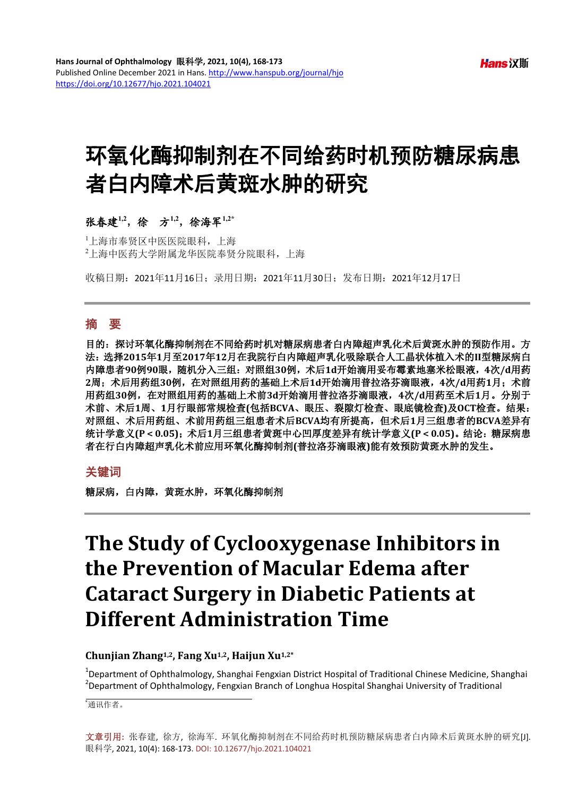# 环氧化酶抑制剂在不同给药时机预防糖尿病患 者白内障术后黄斑水肿的研究

# 张春建**1,2**,徐方**1,2**,徐海军**1,2\***

1 上海市奉贤区中医医院眼科,上海 2 上海中医药大学附属龙华医院奉贤分院眼科,上海

收稿日期:2021年11月16日;录用日期:2021年11月30日;发布日期:2021年12月17日

## 摘 要

目的:探讨环氧化酶抑制剂在不同给药时机对糖尿病患者白内障超声乳化术后黄斑水肿的预防作用。方 法:选择**2015**年**1**月至**2017**年**12**月在我院行白内障超声乳化吸除联合人工晶状体植入术的**II**型糖尿病白 内障患者**90**例**90**眼,随机分入三组:对照组**30**例,术后**1d**开始滴用妥布霉素地塞米松眼液,**4**次**/d**用药 **2**周;术后用药组**30**例,在对照组用药的基础上术后**1d**开始滴用普拉洛芬滴眼液,**4**次**/d**用药**1**月;术前 用药组**30**例,在对照组用药的基础上术前**3d**开始滴用普拉洛芬滴眼液,**4**次**/d**用药至术后**1**月。分别于 术前、术后**1**周、**1**月行眼部常规检查**(**包括**BCVA**、眼压、裂隙灯检查、眼底镜检查**)**及**OCT**检查。结果: 对照组、术后用药组、术前用药组三组患者术后**BCVA**均有所提高,但术后**1**月三组患者的**BCVA**差异有 统计学意义(P < 0.05);术后1月三组患者黄斑中心凹厚度差异有统计学意义(P < 0.05)。结论:糖尿病患 者在行白内障超声乳化术前应用环氧化酶抑制剂**(**普拉洛芬滴眼液**)**能有效预防黄斑水肿的发生。

# 关键词

糖尿病,白内障,黄斑水肿,环氧化酶抑制剂

# **The Study of Cyclooxygenase Inhibitors in the Prevention of Macular Edema after Cataract Surgery in Diabetic Patients at Different Administration Time**

## **Chunjian Zhang1,2, Fang Xu1,2, Haijun Xu1,2\***

<sup>1</sup>Department of Ophthalmology, Shanghai Fengxian District Hospital of Traditional Chinese Medicine, Shanghai <sup>2</sup>Department of Ophthalmology, Shanginai Pranche of Jonghai Press, 2008.  $^2$ Department of Ophthalmology, Fengxian Branch of Longhua Hospital Shanghai University of Traditional

\* 通讯作者。

文章引用**:** 张春建, 徐方, 徐海军. 环氧化酶抑制剂在不同给药时机预防糖尿病患者白内障术后黄斑水肿的研究[J]. 眼科学, 2021, 10(4): 168-173. DOI[: 10.12677/hjo.2021.104021](https://doi.org/10.12677/hjo.2021.104021)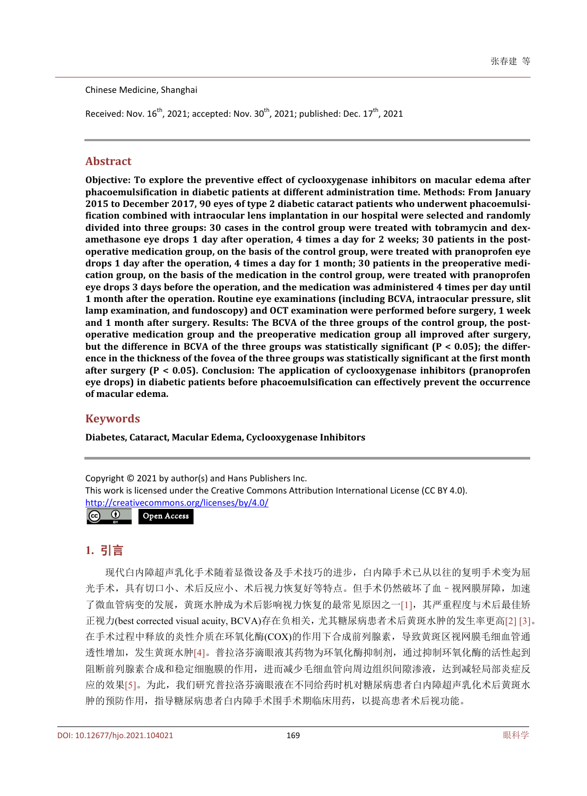Chinese Medicine, Shanghai

Received: Nov.  $16^{th}$ , 2021; accepted: Nov.  $30^{th}$ , 2021; published: Dec.  $17^{th}$ , 2021

# **Abstract**

**Objective: To explore the preventive effect of cyclooxygenase inhibitors on macular edema after phacoemulsification in diabetic patients at different administration time. Methods: From January 2015 to December 2017, 90 eyes of type 2 diabetic cataract patients who underwent phacoemulsification combined with intraocular lens implantation in our hospital were selected and randomly divided into three groups: 30 cases in the control group were treated with tobramycin and dexamethasone eye drops 1 day after operation, 4 times a day for 2 weeks; 30 patients in the postoperative medication group, on the basis of the control group, were treated with pranoprofen eye drops 1 day after the operation, 4 times a day for 1 month; 30 patients in the preoperative medication group, on the basis of the medication in the control group, were treated with pranoprofen eye drops 3 days before the operation, and the medication was administered 4 times per day until 1 month after the operation. Routine eye examinations (including BCVA, intraocular pressure, slit lamp examination, and fundoscopy) and OCT examination were performed before surgery, 1 week and 1 month after surgery. Results: The BCVA of the three groups of the control group, the postoperative medication group and the preoperative medication group all improved after surgery, but the difference in BCVA of the three groups was statistically significant (P < 0.05); the difference in the thickness of the fovea of the three groups was statistically significant at the first month after surgery (P < 0.05). Conclusion: The application of cyclooxygenase inhibitors (pranoprofen eye drops) in diabetic patients before phacoemulsification can effectively prevent the occurrence of macular edema.**

# **Keywords**

**Diabetes, Cataract, Macular Edema, Cyclooxygenase Inhibitors**

Copyright © 2021 by author(s) and Hans Publishers Inc. This work is licensed under the Creative Commons Attribution International License (CC BY 4.0). <http://creativecommons.org/licenses/by/4.0/>

 $\odot$ Open Access $\left(\mathrm{cc}\right)$ 

# **1.** 引言

现代白内障超声乳化手术随着显微设备及手术技巧的进步,白内障手术已从以往的复明手术变为屈 光手术,具有切口小、术后反应小、术后视力恢复好等特点。但手术仍然破坏了血–视网膜屏障,加速 了微血管病变的发展,黄斑水肿成为术后影响视力恢复的最常见原因之一[\[1\]](#page-5-0),其严重程度与术后最佳矫 正视力(best corrected visual acuity, BCVA)存在负相关,尤其糖尿病患者术后黄斑水肿的发生率更高[\[2\]](#page-5-1) [\[3\]](#page-5-2)。 在手术过程中释放的炎性介质在环氧化酶(COX)的作用下合成前列腺素,导致黄斑区视网膜毛细血管通 透性增加,发生黄斑水肿[\[4\]](#page-5-3)。普拉洛芬滴眼液其药物为环氧化酶抑制剂,通过抑制环氧化酶的活性起到 阻断前列腺素合成和稳定细胞膜的作用,进而减少毛细血管向周边组织间隙渗液,达到减轻局部炎症反 应的效果[\[5\]](#page-5-4)。为此,我们研究普拉洛芬滴眼液在不同给药时机对糖尿病患者白内障超声乳化术后黄斑水 肿的预防作用,指导糖尿病患者白内障手术围手术期临床用药,以提高患者术后视功能。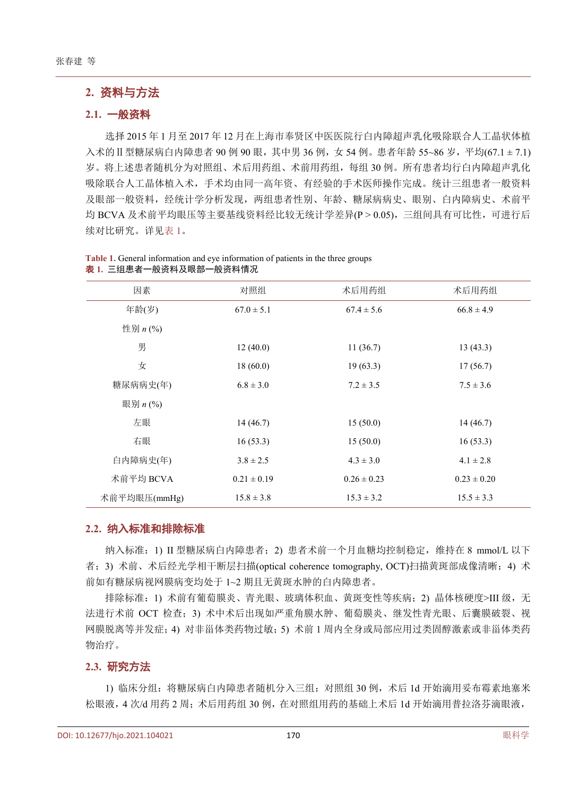# **2.** 资料与方法

#### **2.1.** 一般资料

选择 2015 年 1 月至 2017 年 12 月在上海市奉贤区中医医院行白内障超声乳化吸除联合人工晶状体植 入术的Ⅱ型糖尿病白内障患者 90 例 90 眼, 其中男 36 例, 女 54 例。患者年龄 55~86 岁, 平均(67.1 ± 7.1) 岁。将上述患者随机分为对照组、术后用药组、术前用药组,每组 30 例。所有患者均行白内障超声乳化 吸除联合人工晶体植入术,手术均由同一高年资、有经验的手术医师操作完成。统计三组患者一般资料 及眼部一般资料,经统计学分析发现,两组患者性别、年龄、糖尿病病史、眼别、白内障病史、术前平 均 BCVA 及术前平均眼压等主要基线资料经比较无统计学差异(P > 0.05),三组间具有可比性,可进行后 续对比研究。详[见表](#page-2-0) 1。

| 因素           | 对照组             | 术后用药组           | 术后用药组           |
|--------------|-----------------|-----------------|-----------------|
| 年龄(岁)        | $67.0 \pm 5.1$  | $67.4 \pm 5.6$  | $66.8 \pm 4.9$  |
| 性别 $n$ (%)   |                 |                 |                 |
| 男            | 12(40.0)        | 11(36.7)        | 13(43.3)        |
| 女            | 18(60.0)        | 19(63.3)        | 17(56.7)        |
| 糖尿病病史(年)     | $6.8 \pm 3.0$   | $7.2 \pm 3.5$   | $7.5 \pm 3.6$   |
| 眼别 $n$ (%)   |                 |                 |                 |
| 左眼           | 14(46.7)        | 15(50.0)        | 14(46.7)        |
| 右眼           | 16(53.3)        | 15(50.0)        | 16(53.3)        |
| 白内障病史(年)     | $3.8 \pm 2.5$   | $4.3 \pm 3.0$   | $4.1 \pm 2.8$   |
| 术前平均 BCVA    | $0.21 \pm 0.19$ | $0.26 \pm 0.23$ | $0.23 \pm 0.20$ |
| 术前平均眼压(mmHg) | $15.8 \pm 3.8$  | $15.3 \pm 3.2$  | $15.5 \pm 3.3$  |

<span id="page-2-0"></span>**Table 1.** General information and eye information of patients in the three groups 表 **1.** 三组患者一般资料及眼部一般资料情况

#### **2.2.** 纳入标准和排除标准

纳入标准:1) II 型糖尿病白内障患者;2) 患者术前一个月血糖均控制稳定,维持在 8 mmol/L 以下 者;3) 术前、术后经光学相干断层扫描(optical coherence tomography, OCT)扫描黄斑部成像清晰;4) 术 前如有糖尿病视网膜病变均处于 1~2 期且无黄斑水肿的白内障患者。

排除标准: 1) 术前有葡萄膜炎、青光眼、玻璃体积血、黄斑变性等疾病; 2) 晶体核硬度>III 级, 无 法进行术前 OCT 检查;3) 术中术后出现如严重角膜水肿、葡萄膜炎、继发性青光眼、后囊膜破裂、视 网膜脱离等并发症;4) 对非甾体类药物过敏;5) 术前 1 周内全身或局部应用过类固醇激素或非甾体类药 物治疗。

#### **2.3.** 研究方法

1) 临床分组: 将糖尿病白内障患者随机分入三组: 对照组 30 例, 术后 1d 开始滴用妥布霉素地塞米 松眼液,4 次/d 用药 2 周;术后用药组 30 例,在对照组用药的基础上术后 1d 开始滴用普拉洛芬滴眼液,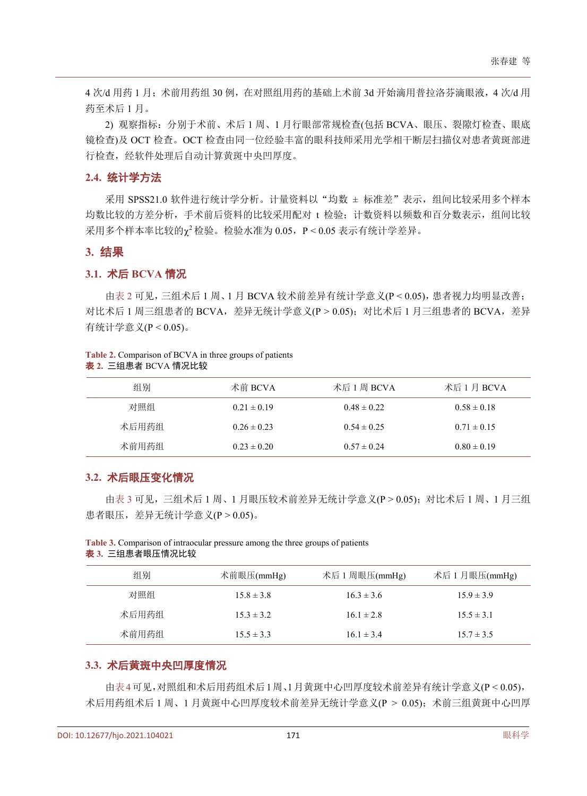4 次/d 用药 1 月;术前用药组 30 例,在对照组用药的基础上术前 3d 开始滴用普拉洛芬滴眼液,4 次/d 用 药至术后 1 月。

2) 观察指标:分别于术前、术后 1 周、1 月行眼部常规检查(包括 BCVA、眼压、裂隙灯检查、眼底 镜检查)及 OCT 检查。OCT 检查由同一位经验丰富的眼科技师采用光学相干断层扫描仪对患者黄斑部进 行检查,经软件处理后自动计算黄斑中央凹厚度。

#### **2.4.** 统计学方法

采用 SPSS21.0 软件进行统计学分析。计量资料以"均数 ± 标准差"表示, 组间比较采用多个样本 均数比较的方差分析,手术前后资料的比较采用配对 t 检验; 计数资料以频数和百分数表示, 组间比较  $R$ 用多个样本率比较的 $\gamma^2$ 检验。检验水准为 0.05, P < 0.05 表示有统计学差异。

#### **3.** 结果

#### **3.1.** 术后 **BCVA** 情况

[由表](#page-3-0) 2 可见,三组术后 1 周、1 月 BCVA 较术前差异有统计学意义(P < 0.05),患者视力均明显改善; 对比术后 1 周三组患者的 BCVA, 差异无统计学意义(P > 0.05); 对比术后 1 月三组患者的 BCVA, 差异 有统计学意义(P < 0.05)。

#### <span id="page-3-0"></span>**Table 2.** Comparison of BCVA in three groups of patients 表 **2.** 三组患者 BCVA 情况比较

| 组别    | 术前 BCVA         | 术后 1 周 BCVA     | 术后 1 月 BCVA     |
|-------|-----------------|-----------------|-----------------|
| 对照组   | $0.21 \pm 0.19$ | $0.48 \pm 0.22$ | $0.58 \pm 0.18$ |
| 术后用药组 | $0.26 \pm 0.23$ | $0.54 \pm 0.25$ | $0.71 \pm 0.15$ |
| 术前用药组 | $0.23 \pm 0.20$ | $0.57 \pm 0.24$ | $0.80 \pm 0.19$ |
|       |                 |                 |                 |

#### **3.2.** 术后眼压变化情况

[由表](#page-3-1) 3 可见,三组术后 1 周、1 月眼压较术前差异无统计学意义(P > 0.05);对比术后 1 周、1 月三组 患者眼压,差异无统计学意义(P > 0.05)。

<span id="page-3-1"></span>**Table 3.** Comparison of intraocular pressure among the three groups of patients 表 **3.** 三组患者眼压情况比较

| 组别    | 术前眼压(mmHg)     | 术后 1 周眼压(mmHg) | 术后 1 月眼压(mmHg) |
|-------|----------------|----------------|----------------|
| 对照组   | $15.8 \pm 3.8$ | $16.3 \pm 3.6$ | $15.9 \pm 3.9$ |
| 术后用药组 | $15.3 \pm 3.2$ | $16.1 \pm 2.8$ | $15.5 \pm 3.1$ |
| 术前用药组 | $15.5 \pm 3.3$ | $16.1 \pm 3.4$ | $15.7 \pm 3.5$ |

### **3.3.** 术后黄斑中央凹厚度情况

[由表](#page-4-0)4可见,对照组和术后用药组术后1周、1月黄斑中心凹厚度较术前差异有统计学意义(P < 0.05), 术后用药组术后 1 周、1 月黄斑中心凹厚度较术前差异无统计学意义(P > 0.05); 术前三组黄斑中心凹厚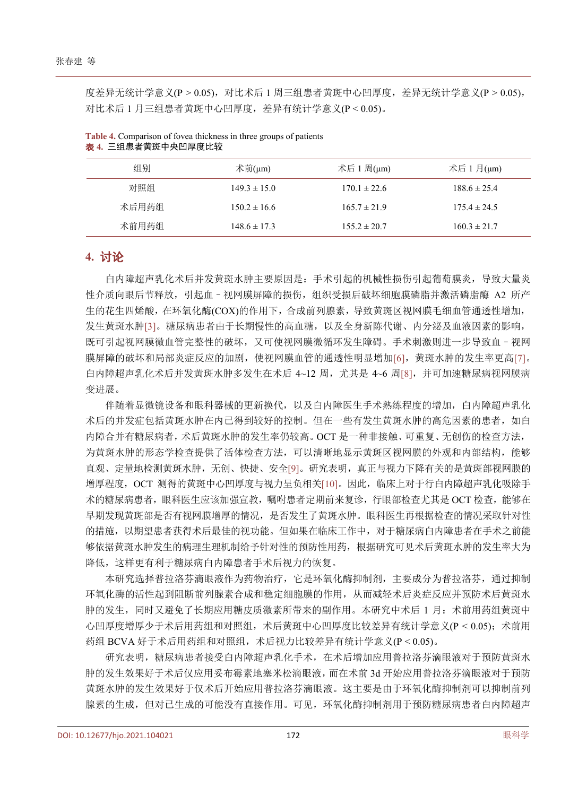度差异无统计学意义(P > 0.05), 对比术后 1 周三组患者黄斑中心凹厚度, 差异无统计学意义(P > 0.05), 对比术后 1 月三组患者黄斑中心凹厚度,差异有统计学意义(P < 0.05)。

| 组别    | 术前(µm)           | 术后 1 周(µm)       | 术后 1 月(µm)       |
|-------|------------------|------------------|------------------|
| 对照组   | $149.3 \pm 15.0$ | $170.1 \pm 22.6$ | $188.6 \pm 25.4$ |
| 术后用药组 | $150.2 \pm 16.6$ | $165.7 \pm 21.9$ | $175.4 \pm 24.5$ |
| 术前用药组 | $148.6 \pm 17.3$ | $155.2 \pm 20.7$ | $160.3 \pm 21.7$ |

<span id="page-4-0"></span>**Table 4.** Comparison of fovea thickness in three groups of patients 表 **4.** 三组患者黄斑中央凹厚度比较

## **4.** 讨论

白内障超声乳化术后并发黄斑水肿主要原因是:手术引起的机械性损伤引起葡萄膜炎,导致大量炎 性介质向眼后节释放,引起血–视网膜屏障的损伤,组织受损后破坏细胞膜磷脂并激活磷脂酶 A2 所产 生的花生四烯酸,在环氧化酶(COX)的作用下,合成前列腺素,导致黄斑区视网膜毛细血管通透性增加, 发生黄斑水肿[\[3\]](#page-5-2)。糖尿病患者由于长期慢性的高血糖,以及全身新陈代谢、内分泌及血液因素的影响, 既可引起视网膜微血管完整性的破坏,又可使视网膜微循环发生障碍。手术刺激则进一步导致血–视网 膜屏障的破坏和局部炎症反应的加剧,使视网膜血管的通透性明显增加[\[6\]](#page-5-5),黄斑水肿的发生率更高[\[7\]](#page-5-6)。 白内障超声乳化术后并发黄斑水肿多发生在术后 4~12 周,尤其是 4~6 周[\[8\]](#page-5-7),并可加速糖尿病视网膜病 变进展。

伴随着显微镜设备和眼科器械的更新换代,以及白内障医生手术熟练程度的增加,白内障超声乳化 术后的并发症包括黄斑水肿在内已得到较好的控制。但在一些有发生黄斑水肿的高危因素的患者,如白 内障合并有糖尿病者,术后黄斑水肿的发生率仍较高。OCT 是一种非接触、可重复、无创伤的检查方法, 为黄斑水肿的形态学检查提供了活体检查方法,可以清晰地显示黄斑区视网膜的外观和内部结构,能够 直观、定量地检测黄斑水肿,无创、快捷、安全[\[9\]](#page-5-8)。研究表明,真正与视力下降有关的是黄斑部视网膜的 增厚程度,OCT 测得的黄斑中心凹厚度与视力呈负相关[\[10\]](#page-5-9)。因此,临床上对于行白内障超声乳化吸除手 术的糖尿病患者,眼科医生应该加强宣教,嘱咐患者定期前来复诊,行眼部检查尤其是 OCT 检查,能够在 早期发现黄斑部是否有视网膜增厚的情况,是否发生了黄斑水肿。眼科医生再根据检查的情况采取针对性 的措施,以期望患者获得术后最佳的视功能。但如果在临床工作中,对于糖尿病白内障患者在手术之前能 够依据黄斑水肿发生的病理生理机制给予针对性的预防性用药,根据研究可见术后黄斑水肿的发生率大为 降低,这样更有利于糖尿病白内障患者手术后视力的恢复。

本研究选择普拉洛芬滴眼液作为药物治疗,它是环氧化酶抑制剂,主要成分为普拉洛芬,通过抑制 环氧化酶的活性起到阻断前列腺素合成和稳定细胞膜的作用,从而减轻术后炎症反应并预防术后黄斑水 肿的发生,同时又避免了长期应用糖皮质激素所带来的副作用。本研究中术后 1 月: 术前用药组黄斑中 心凹厚度增厚少于术后用药组和对照组,术后黄斑中心凹厚度比较差异有统计学意义(P < 0.05);术前用 药组 BCVA 好于术后用药组和对照组,术后视力比较差异有统计学意义(P < 0.05)。

研究表明,糖尿病患者接受白内障超声乳化手术,在术后增加应用普拉洛芬滴眼液对于预防黄斑水 肿的发生效果好于术后仅应用妥布霉素地塞米松滴眼液,而在术前 3d 开始应用普拉洛芬滴眼液对于预防 黄斑水肿的发生效果好于仅术后开始应用普拉洛芬滴眼液。这主要是由于环氧化酶抑制剂可以抑制前列 腺素的生成,但对已生成的可能没有直接作用。可见,环氧化酶抑制剂用于预防糖尿病患者白内障超声